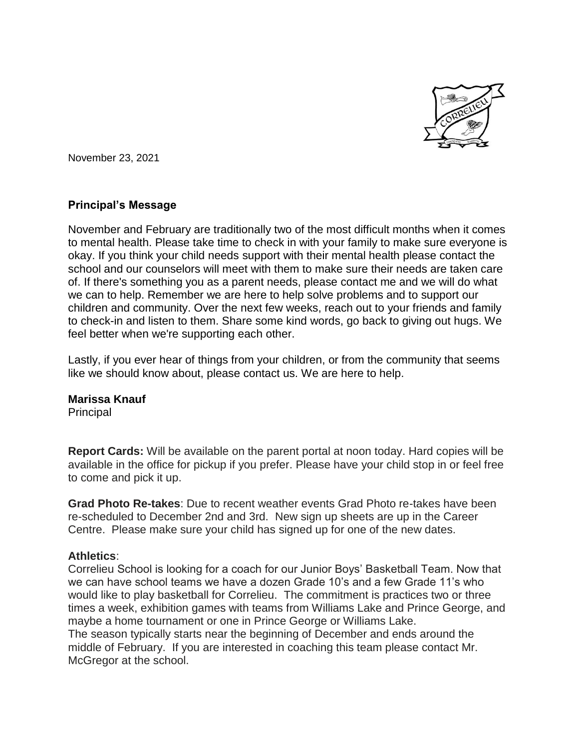

November 23, 2021

## **Principal's Message**

November and February are traditionally two of the most difficult months when it comes to mental health. Please take time to check in with your family to make sure everyone is okay. If you think your child needs support with their mental health please contact the school and our counselors will meet with them to make sure their needs are taken care of. If there's something you as a parent needs, please contact me and we will do what we can to help. Remember we are here to help solve problems and to support our children and community. Over the next few weeks, reach out to your friends and family to check-in and listen to them. Share some kind words, go back to giving out hugs. We feel better when we're supporting each other.

Lastly, if you ever hear of things from your children, or from the community that seems like we should know about, please contact us. We are here to help.

## **Marissa Knauf**

**Principal** 

**Report Cards:** Will be available on the parent portal at noon today. Hard copies will be available in the office for pickup if you prefer. Please have your child stop in or feel free to come and pick it up.

**Grad Photo Re-takes**: Due to recent weather events Grad Photo re-takes have been re-scheduled to December 2nd and 3rd. New sign up sheets are up in the Career Centre. Please make sure your child has signed up for one of the new dates.

## **Athletics**:

Correlieu School is looking for a coach for our Junior Boys' Basketball Team. Now that we can have school teams we have a dozen Grade 10's and a few Grade 11's who would like to play basketball for Correlieu. The commitment is practices two or three times a week, exhibition games with teams from Williams Lake and Prince George, and maybe a home tournament or one in Prince George or Williams Lake. The season typically starts near the beginning of December and ends around the middle of February. If you are interested in coaching this team please contact Mr. McGregor at the school.